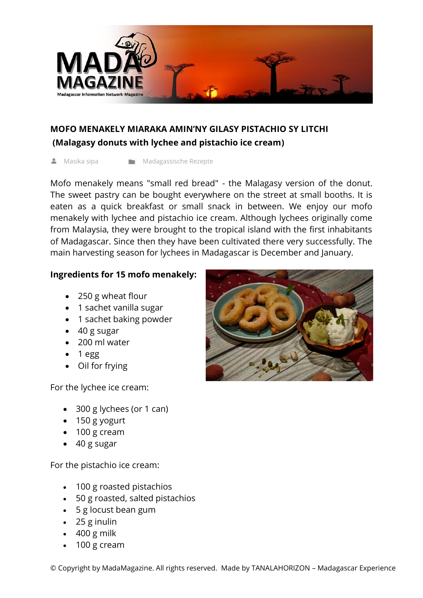

## **MOFO MENAKELY MIARAKA AMIN'NY GILASY PISTACHIO SY LITCHI (Malagasy donuts with lychee and pistachio ice cream)**

Masika sipa Madagassische Rezepte

Mofo menakely means "small red bread" - the Malagasy version of the donut. The sweet pastry can be bought everywhere on the street at small booths. It is eaten as a quick breakfast or small snack in between. We enjoy our mofo menakely with lychee and pistachio ice cream. Although lychees originally come from Malaysia, they were brought to the tropical island with the first inhabitants of Madagascar. Since then they have been cultivated there very successfully. The main harvesting season for lychees in Madagascar is December and January.

## **Ingredients for 15 mofo menakely:**

- 250 g wheat flour
- 1 sachet vanilla sugar
- 1 sachet baking powder
- 40 g sugar
- 200 ml water
- $\bullet$  1 egg
- Oil for frying

For the lychee ice cream:

- 300 g lychees (or 1 can)
- 150 g yogurt
- 100 g cream
- 40 g sugar

For the pistachio ice cream:

- 100 g roasted pistachios
- 50 g roasted, salted pistachios
- 5 g locust bean gum
- 25 g inulin
- $-400$  g milk
- 100 g cream